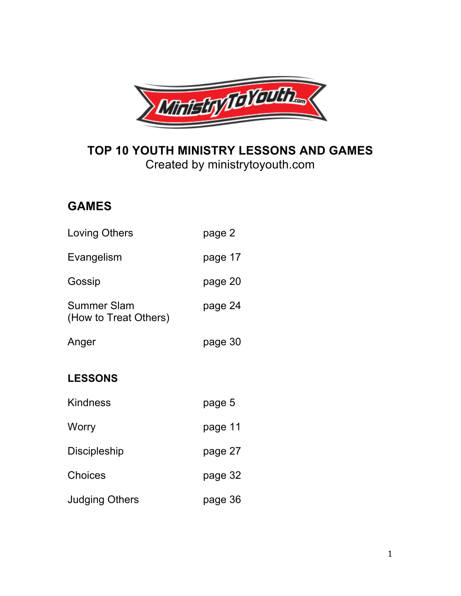

# **TOP 10 YOUTH MINISTRY LESSONS AND GAMES** Created by ministrytoyouth.com

# **GAMES**

| <b>Loving Others</b>                 | page 2  |
|--------------------------------------|---------|
| Evangelism                           | page 17 |
| Gossip                               | page 20 |
| Summer Slam<br>(How to Treat Others) | page 24 |
| Anger                                | page 30 |
| <b>LESSONS</b>                       |         |
| <b>Kindness</b>                      | page 5  |
| Worry                                | page 11 |
| Discipleship                         | page 27 |
| Choices                              | page 32 |
| <b>Judging Others</b>                | page 36 |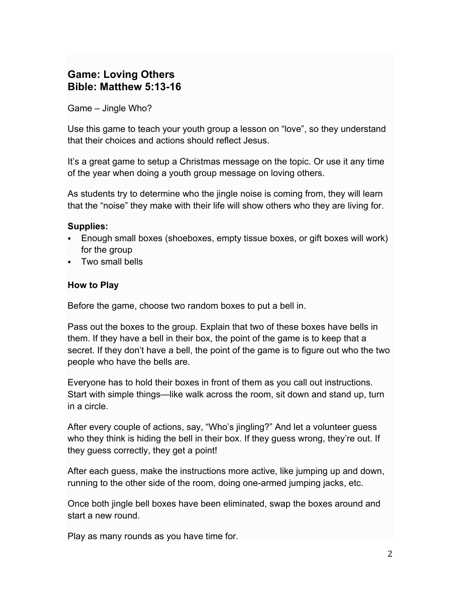# **Game: Loving Others Bible: Matthew 5:13-16**

Game – Jingle Who?

Use this game to teach your youth group a lesson on "love", so they understand that their choices and actions should reflect Jesus.

It's a great game to setup a Christmas message on the topic. Or use it any time of the year when doing a youth group message on loving others.

As students try to determine who the jingle noise is coming from, they will learn that the "noise" they make with their life will show others who they are living for.

#### **Supplies:**

- § Enough small boxes (shoeboxes, empty tissue boxes, or gift boxes will work) for the group
- § Two small bells

#### **How to Play**

Before the game, choose two random boxes to put a bell in.

Pass out the boxes to the group. Explain that two of these boxes have bells in them. If they have a bell in their box, the point of the game is to keep that a secret. If they don't have a bell, the point of the game is to figure out who the two people who have the bells are.

Everyone has to hold their boxes in front of them as you call out instructions. Start with simple things—like walk across the room, sit down and stand up, turn in a circle.

After every couple of actions, say, "Who's jingling?" And let a volunteer guess who they think is hiding the bell in their box. If they guess wrong, they're out. If they guess correctly, they get a point!

After each guess, make the instructions more active, like jumping up and down, running to the other side of the room, doing one-armed jumping jacks, etc.

Once both jingle bell boxes have been eliminated, swap the boxes around and start a new round.

Play as many rounds as you have time for.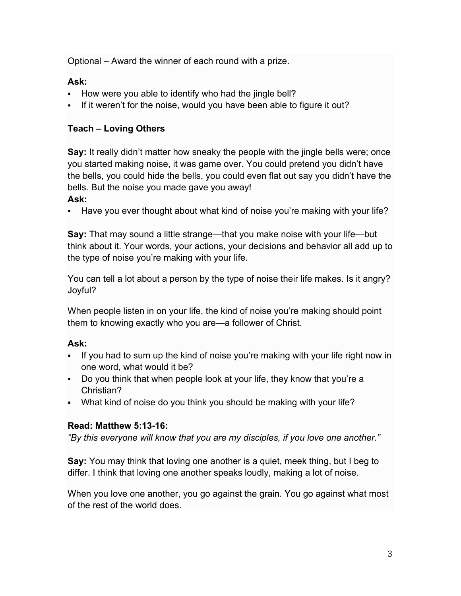Optional – Award the winner of each round with a prize.

# **Ask:**

- How were you able to identify who had the jingle bell?
- If it weren't for the noise, would you have been able to figure it out?

# **Teach – Loving Others**

**Say:** It really didn't matter how sneaky the people with the jingle bells were; once you started making noise, it was game over. You could pretend you didn't have the bells, you could hide the bells, you could even flat out say you didn't have the bells. But the noise you made gave you away!

## **Ask:**

• Have you ever thought about what kind of noise you're making with your life?

**Say:** That may sound a little strange—that you make noise with your life—but think about it. Your words, your actions, your decisions and behavior all add up to the type of noise you're making with your life.

You can tell a lot about a person by the type of noise their life makes. Is it angry? Joyful?

When people listen in on your life, the kind of noise you're making should point them to knowing exactly who you are—a follower of Christ.

# **Ask:**

- If you had to sum up the kind of noise you're making with your life right now in one word, what would it be?
- § Do you think that when people look at your life, they know that you're a Christian?
- What kind of noise do you think you should be making with your life?

#### **Read: Matthew 5:13-16:**

*"By this everyone will know that you are my disciples, if you love one another."*

**Say:** You may think that loving one another is a quiet, meek thing, but I beg to differ. I think that loving one another speaks loudly, making a lot of noise.

When you love one another, you go against the grain. You go against what most of the rest of the world does.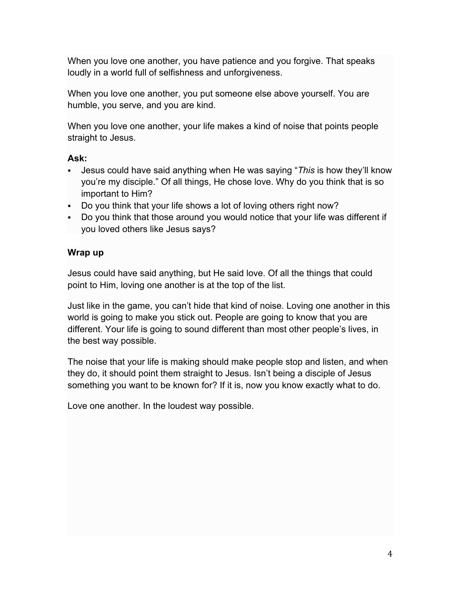When you love one another, you have patience and you forgive. That speaks loudly in a world full of selfishness and unforgiveness.

When you love one another, you put someone else above yourself. You are humble, you serve, and you are kind.

When you love one another, your life makes a kind of noise that points people straight to Jesus.

#### **Ask:**

- § Jesus could have said anything when He was saying "*This* is how they'll know you're my disciple." Of all things, He chose love. Why do you think that is so important to Him?
- Do you think that your life shows a lot of loving others right now?
- Do you think that those around you would notice that your life was different if you loved others like Jesus says?

#### **Wrap up**

Jesus could have said anything, but He said love. Of all the things that could point to Him, loving one another is at the top of the list.

Just like in the game, you can't hide that kind of noise. Loving one another in this world is going to make you stick out. People are going to know that you are different. Your life is going to sound different than most other people's lives, in the best way possible.

The noise that your life is making should make people stop and listen, and when they do, it should point them straight to Jesus. Isn't being a disciple of Jesus something you want to be known for? If it is, now you know exactly what to do.

Love one another. In the loudest way possible.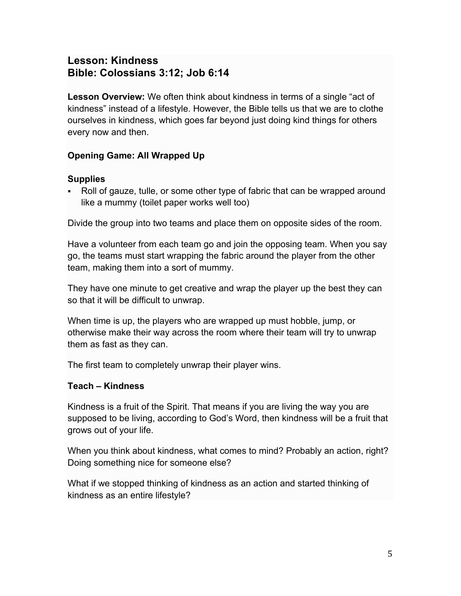# **Lesson: Kindness Bible: Colossians 3:12; Job 6:14**

**Lesson Overview:** We often think about kindness in terms of a single "act of kindness" instead of a lifestyle. However, the Bible tells us that we are to clothe ourselves in kindness, which goes far beyond just doing kind things for others every now and then.

# **Opening Game: All Wrapped Up**

# **Supplies**

§ Roll of gauze, tulle, or some other type of fabric that can be wrapped around like a mummy (toilet paper works well too)

Divide the group into two teams and place them on opposite sides of the room.

Have a volunteer from each team go and join the opposing team. When you say go, the teams must start wrapping the fabric around the player from the other team, making them into a sort of mummy.

They have one minute to get creative and wrap the player up the best they can so that it will be difficult to unwrap.

When time is up, the players who are wrapped up must hobble, jump, or otherwise make their way across the room where their team will try to unwrap them as fast as they can.

The first team to completely unwrap their player wins.

# **Teach – Kindness**

Kindness is a fruit of the Spirit. That means if you are living the way you are supposed to be living, according to God's Word, then kindness will be a fruit that grows out of your life.

When you think about kindness, what comes to mind? Probably an action, right? Doing something nice for someone else?

What if we stopped thinking of kindness as an action and started thinking of kindness as an entire lifestyle?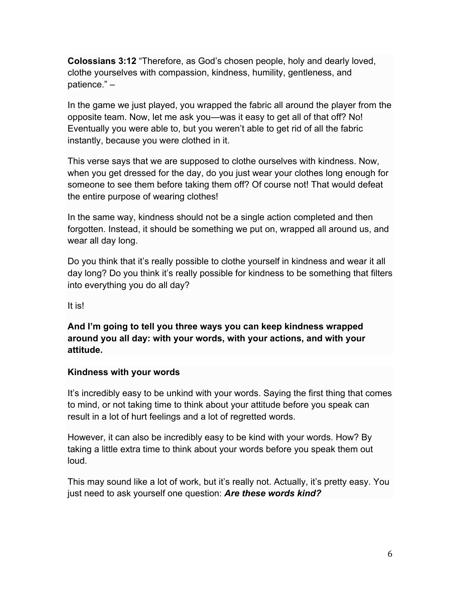**Colossians 3:12** "Therefore, as God's chosen people, holy and dearly loved, clothe yourselves with compassion, kindness, humility, gentleness, and patience." –

In the game we just played, you wrapped the fabric all around the player from the opposite team. Now, let me ask you—was it easy to get all of that off? No! Eventually you were able to, but you weren't able to get rid of all the fabric instantly, because you were clothed in it.

This verse says that we are supposed to clothe ourselves with kindness. Now, when you get dressed for the day, do you just wear your clothes long enough for someone to see them before taking them off? Of course not! That would defeat the entire purpose of wearing clothes!

In the same way, kindness should not be a single action completed and then forgotten. Instead, it should be something we put on, wrapped all around us, and wear all day long.

Do you think that it's really possible to clothe yourself in kindness and wear it all day long? Do you think it's really possible for kindness to be something that filters into everything you do all day?

It is!

**And I'm going to tell you three ways you can keep kindness wrapped around you all day: with your words, with your actions, and with your attitude.**

#### **Kindness with your words**

It's incredibly easy to be unkind with your words. Saying the first thing that comes to mind, or not taking time to think about your attitude before you speak can result in a lot of hurt feelings and a lot of regretted words.

However, it can also be incredibly easy to be kind with your words. How? By taking a little extra time to think about your words before you speak them out loud.

This may sound like a lot of work, but it's really not. Actually, it's pretty easy. You just need to ask yourself one question: *Are these words kind?*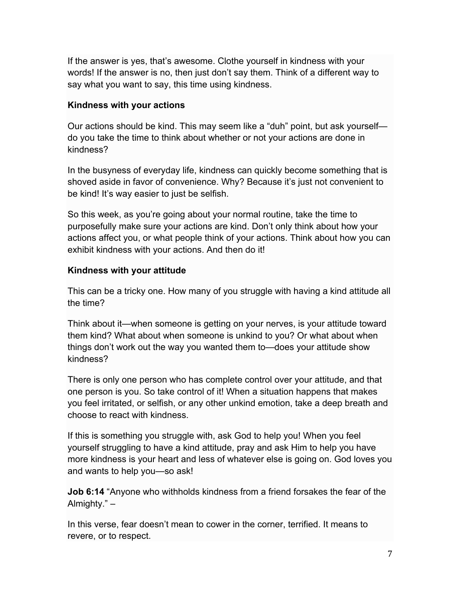If the answer is yes, that's awesome. Clothe yourself in kindness with your words! If the answer is no, then just don't say them. Think of a different way to say what you want to say, this time using kindness.

#### **Kindness with your actions**

Our actions should be kind. This may seem like a "duh" point, but ask yourself do you take the time to think about whether or not your actions are done in kindness?

In the busyness of everyday life, kindness can quickly become something that is shoved aside in favor of convenience. Why? Because it's just not convenient to be kind! It's way easier to just be selfish.

So this week, as you're going about your normal routine, take the time to purposefully make sure your actions are kind. Don't only think about how your actions affect you, or what people think of your actions. Think about how you can exhibit kindness with your actions. And then do it!

#### **Kindness with your attitude**

This can be a tricky one. How many of you struggle with having a kind attitude all the time?

Think about it—when someone is getting on your nerves, is your attitude toward them kind? What about when someone is unkind to you? Or what about when things don't work out the way you wanted them to—does your attitude show kindness?

There is only one person who has complete control over your attitude, and that one person is you. So take control of it! When a situation happens that makes you feel irritated, or selfish, or any other unkind emotion, take a deep breath and choose to react with kindness.

If this is something you struggle with, ask God to help you! When you feel yourself struggling to have a kind attitude, pray and ask Him to help you have more kindness is your heart and less of whatever else is going on. God loves you and wants to help you—so ask!

**Job 6:14** "Anyone who withholds kindness from a friend forsakes the fear of the Almighty." –

In this verse, fear doesn't mean to cower in the corner, terrified. It means to revere, or to respect.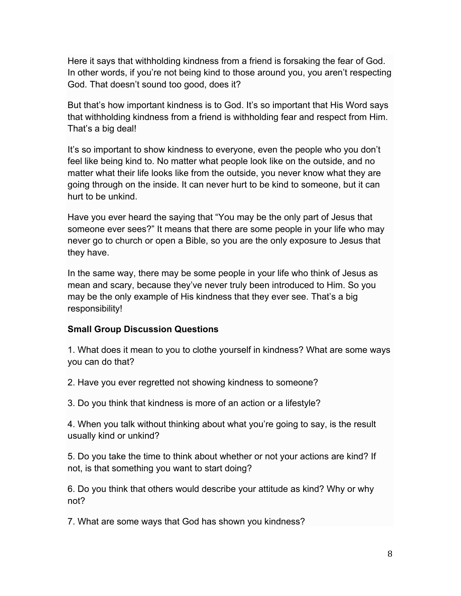Here it says that withholding kindness from a friend is forsaking the fear of God. In other words, if you're not being kind to those around you, you aren't respecting God. That doesn't sound too good, does it?

But that's how important kindness is to God. It's so important that His Word says that withholding kindness from a friend is withholding fear and respect from Him. That's a big deal!

It's so important to show kindness to everyone, even the people who you don't feel like being kind to. No matter what people look like on the outside, and no matter what their life looks like from the outside, you never know what they are going through on the inside. It can never hurt to be kind to someone, but it can hurt to be unkind.

Have you ever heard the saying that "You may be the only part of Jesus that someone ever sees?" It means that there are some people in your life who may never go to church or open a Bible, so you are the only exposure to Jesus that they have.

In the same way, there may be some people in your life who think of Jesus as mean and scary, because they've never truly been introduced to Him. So you may be the only example of His kindness that they ever see. That's a big responsibility!

#### **Small Group Discussion Questions**

1. What does it mean to you to clothe yourself in kindness? What are some ways you can do that?

2. Have you ever regretted not showing kindness to someone?

3. Do you think that kindness is more of an action or a lifestyle?

4. When you talk without thinking about what you're going to say, is the result usually kind or unkind?

5. Do you take the time to think about whether or not your actions are kind? If not, is that something you want to start doing?

6. Do you think that others would describe your attitude as kind? Why or why not?

7. What are some ways that God has shown you kindness?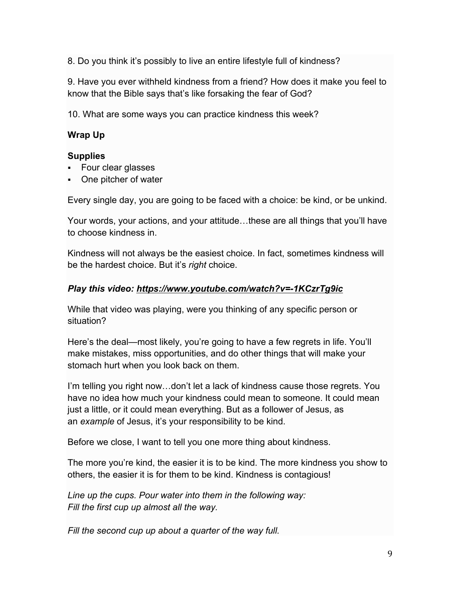8. Do you think it's possibly to live an entire lifestyle full of kindness?

9. Have you ever withheld kindness from a friend? How does it make you feel to know that the Bible says that's like forsaking the fear of God?

10. What are some ways you can practice kindness this week?

## **Wrap Up**

#### **Supplies**

- § Four clear glasses
- One pitcher of water

Every single day, you are going to be faced with a choice: be kind, or be unkind.

Your words, your actions, and your attitude…these are all things that you'll have to choose kindness in.

Kindness will not always be the easiest choice. In fact, sometimes kindness will be the hardest choice. But it's *right* choice.

#### *Play this video: https://www.youtube.com/watch?v=-1KCzrTg9ic*

While that video was playing, were you thinking of any specific person or situation?

Here's the deal—most likely, you're going to have a few regrets in life. You'll make mistakes, miss opportunities, and do other things that will make your stomach hurt when you look back on them.

I'm telling you right now…don't let a lack of kindness cause those regrets. You have no idea how much your kindness could mean to someone. It could mean just a little, or it could mean everything. But as a follower of Jesus, as an *example* of Jesus, it's your responsibility to be kind.

Before we close, I want to tell you one more thing about kindness.

The more you're kind, the easier it is to be kind. The more kindness you show to others, the easier it is for them to be kind. Kindness is contagious!

*Line up the cups. Pour water into them in the following way: Fill the first cup up almost all the way.*

*Fill the second cup up about a quarter of the way full.*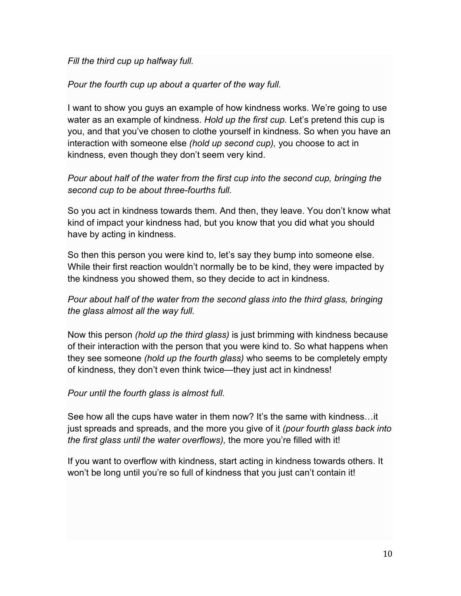*Fill the third cup up halfway full.*

*Pour the fourth cup up about a quarter of the way full.*

I want to show you guys an example of how kindness works. We're going to use water as an example of kindness. *Hold up the first cup.* Let's pretend this cup is you, and that you've chosen to clothe yourself in kindness. So when you have an interaction with someone else *(hold up second cup),* you choose to act in kindness, even though they don't seem very kind.

# *Pour about half of the water from the first cup into the second cup, bringing the second cup to be about three-fourths full.*

So you act in kindness towards them. And then, they leave. You don't know what kind of impact your kindness had, but you know that you did what you should have by acting in kindness.

So then this person you were kind to, let's say they bump into someone else. While their first reaction wouldn't normally be to be kind, they were impacted by the kindness you showed them, so they decide to act in kindness.

# *Pour about half of the water from the second glass into the third glass, bringing the glass almost all the way full.*

Now this person *(hold up the third glass)* is just brimming with kindness because of their interaction with the person that you were kind to. So what happens when they see someone *(hold up the fourth glass)* who seems to be completely empty of kindness, they don't even think twice—they just act in kindness!

*Pour until the fourth glass is almost full.*

See how all the cups have water in them now? It's the same with kindness…it just spreads and spreads, and the more you give of it *(pour fourth glass back into the first glass until the water overflows),* the more you're filled with it!

If you want to overflow with kindness, start acting in kindness towards others. It won't be long until you're so full of kindness that you just can't contain it!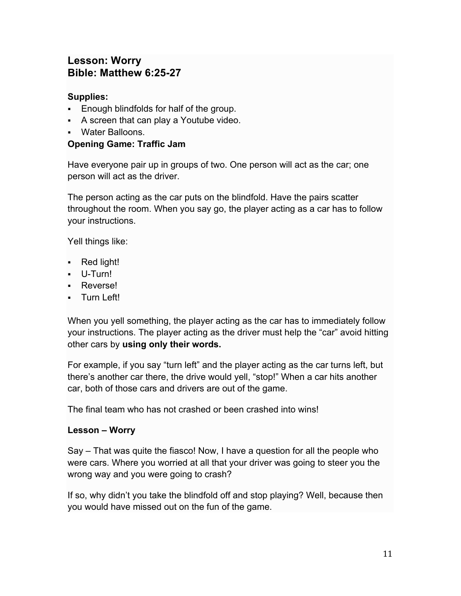# **Lesson: Worry Bible: Matthew 6:25-27**

# **Supplies:**

- Enough blindfolds for half of the group.
- A screen that can play a Youtube video.
- § Water Balloons.

# **Opening Game: Traffic Jam**

Have everyone pair up in groups of two. One person will act as the car; one person will act as the driver.

The person acting as the car puts on the blindfold. Have the pairs scatter throughout the room. When you say go, the player acting as a car has to follow your instructions.

Yell things like:

- Red light!
- § U-Turn!
- Reverse!
- Turn Left!

When you yell something, the player acting as the car has to immediately follow your instructions. The player acting as the driver must help the "car" avoid hitting other cars by **using only their words.**

For example, if you say "turn left" and the player acting as the car turns left, but there's another car there, the drive would yell, "stop!" When a car hits another car, both of those cars and drivers are out of the game.

The final team who has not crashed or been crashed into wins!

# **Lesson – Worry**

Say – That was quite the fiasco! Now, I have a question for all the people who were cars. Where you worried at all that your driver was going to steer you the wrong way and you were going to crash?

If so, why didn't you take the blindfold off and stop playing? Well, because then you would have missed out on the fun of the game.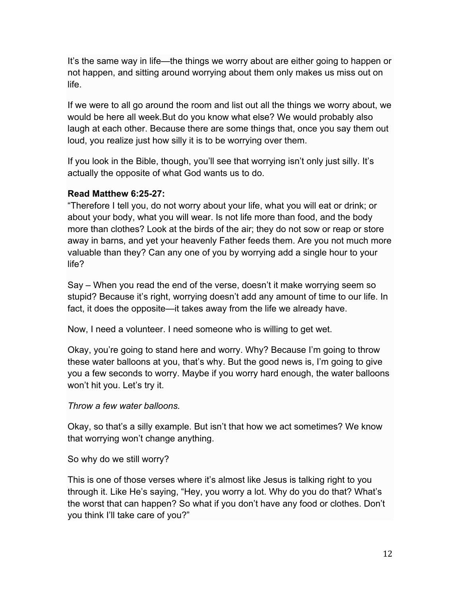It's the same way in life—the things we worry about are either going to happen or not happen, and sitting around worrying about them only makes us miss out on life.

If we were to all go around the room and list out all the things we worry about, we would be here all week.But do you know what else? We would probably also laugh at each other. Because there are some things that, once you say them out loud, you realize just how silly it is to be worrying over them.

If you look in the Bible, though, you'll see that worrying isn't only just silly. It's actually the opposite of what God wants us to do.

#### **Read Matthew 6:25-27:**

"Therefore I tell you, do not worry about your life, what you will eat or drink; or about your body, what you will wear. Is not life more than food, and the body more than clothes? Look at the birds of the air; they do not sow or reap or store away in barns, and yet your heavenly Father feeds them. Are you not much more valuable than they? Can any one of you by worrying add a single hour to your life?

Say – When you read the end of the verse, doesn't it make worrying seem so stupid? Because it's right, worrying doesn't add any amount of time to our life. In fact, it does the opposite—it takes away from the life we already have.

Now, I need a volunteer. I need someone who is willing to get wet.

Okay, you're going to stand here and worry. Why? Because I'm going to throw these water balloons at you, that's why. But the good news is, I'm going to give you a few seconds to worry. Maybe if you worry hard enough, the water balloons won't hit you. Let's try it.

#### *Throw a few water balloons.*

Okay, so that's a silly example. But isn't that how we act sometimes? We know that worrying won't change anything.

So why do we still worry?

This is one of those verses where it's almost like Jesus is talking right to you through it. Like He's saying, "Hey, you worry a lot. Why do you do that? What's the worst that can happen? So what if you don't have any food or clothes. Don't you think I'll take care of you?"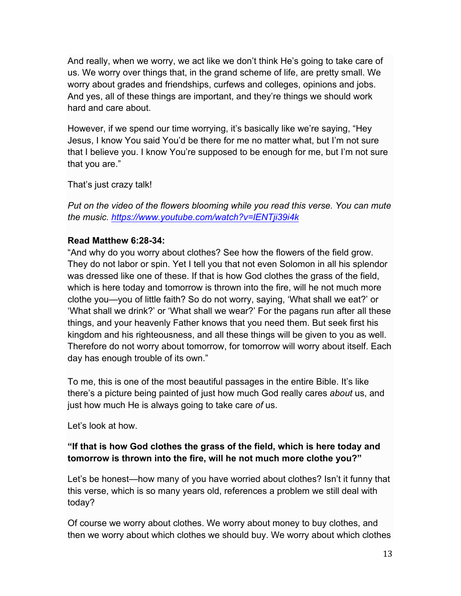And really, when we worry, we act like we don't think He's going to take care of us. We worry over things that, in the grand scheme of life, are pretty small. We worry about grades and friendships, curfews and colleges, opinions and jobs. And yes, all of these things are important, and they're things we should work hard and care about.

However, if we spend our time worrying, it's basically like we're saying, "Hey Jesus, I know You said You'd be there for me no matter what, but I'm not sure that I believe you. I know You're supposed to be enough for me, but I'm not sure that you are."

That's just crazy talk!

*Put on the video of the flowers blooming while you read this verse. You can mute the music. https://www.youtube.com/watch?v=lENTji39i4k*

#### **Read Matthew 6:28-34:**

"And why do you worry about clothes? See how the flowers of the field grow. They do not labor or spin. Yet I tell you that not even Solomon in all his splendor was dressed like one of these. If that is how God clothes the grass of the field, which is here today and tomorrow is thrown into the fire, will he not much more clothe you—you of little faith? So do not worry, saying, 'What shall we eat?' or 'What shall we drink?' or 'What shall we wear?' For the pagans run after all these things, and your heavenly Father knows that you need them. But seek first his kingdom and his righteousness, and all these things will be given to you as well. Therefore do not worry about tomorrow, for tomorrow will worry about itself. Each day has enough trouble of its own."

To me, this is one of the most beautiful passages in the entire Bible. It's like there's a picture being painted of just how much God really cares *about* us, and just how much He is always going to take care *of* us.

Let's look at how.

## **"If that is how God clothes the grass of the field, which is here today and tomorrow is thrown into the fire, will he not much more clothe you?"**

Let's be honest—how many of you have worried about clothes? Isn't it funny that this verse, which is so many years old, references a problem we still deal with today?

Of course we worry about clothes. We worry about money to buy clothes, and then we worry about which clothes we should buy. We worry about which clothes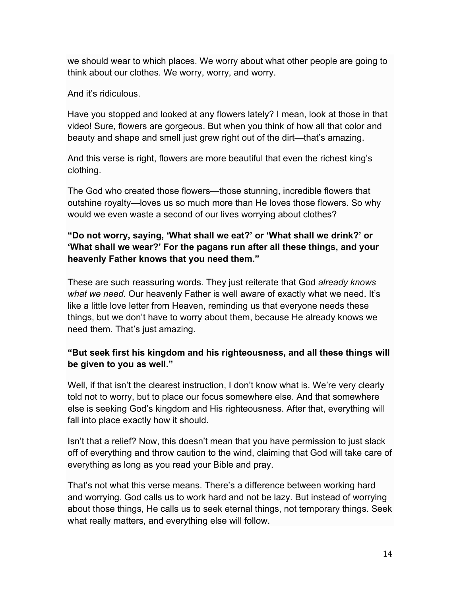we should wear to which places. We worry about what other people are going to think about our clothes. We worry, worry, and worry.

And it's ridiculous.

Have you stopped and looked at any flowers lately? I mean, look at those in that video! Sure, flowers are gorgeous. But when you think of how all that color and beauty and shape and smell just grew right out of the dirt—that's amazing.

And this verse is right, flowers are more beautiful that even the richest king's clothing.

The God who created those flowers—those stunning, incredible flowers that outshine royalty—loves us so much more than He loves those flowers. So why would we even waste a second of our lives worrying about clothes?

## **"Do not worry, saying, 'What shall we eat?' or 'What shall we drink?' or 'What shall we wear?' For the pagans run after all these things, and your heavenly Father knows that you need them."**

These are such reassuring words. They just reiterate that God *already knows what we need.* Our heavenly Father is well aware of exactly what we need. It's like a little love letter from Heaven, reminding us that everyone needs these things, but we don't have to worry about them, because He already knows we need them. That's just amazing.

#### **"But seek first his kingdom and his righteousness, and all these things will be given to you as well."**

Well, if that isn't the clearest instruction, I don't know what is. We're very clearly told not to worry, but to place our focus somewhere else. And that somewhere else is seeking God's kingdom and His righteousness. After that, everything will fall into place exactly how it should.

Isn't that a relief? Now, this doesn't mean that you have permission to just slack off of everything and throw caution to the wind, claiming that God will take care of everything as long as you read your Bible and pray.

That's not what this verse means. There's a difference between working hard and worrying. God calls us to work hard and not be lazy. But instead of worrying about those things, He calls us to seek eternal things, not temporary things. Seek what really matters, and everything else will follow.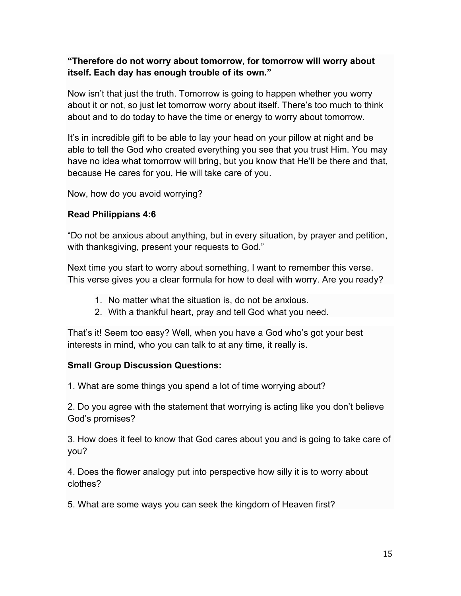#### **"Therefore do not worry about tomorrow, for tomorrow will worry about itself. Each day has enough trouble of its own."**

Now isn't that just the truth. Tomorrow is going to happen whether you worry about it or not, so just let tomorrow worry about itself. There's too much to think about and to do today to have the time or energy to worry about tomorrow.

It's in incredible gift to be able to lay your head on your pillow at night and be able to tell the God who created everything you see that you trust Him. You may have no idea what tomorrow will bring, but you know that He'll be there and that, because He cares for you, He will take care of you.

Now, how do you avoid worrying?

#### **Read Philippians 4:6**

"Do not be anxious about anything, but in every situation, by prayer and petition, with thanksgiving, present your requests to God."

Next time you start to worry about something, I want to remember this verse. This verse gives you a clear formula for how to deal with worry. Are you ready?

- 1. No matter what the situation is, do not be anxious.
- 2. With a thankful heart, pray and tell God what you need.

That's it! Seem too easy? Well, when you have a God who's got your best interests in mind, who you can talk to at any time, it really is.

#### **Small Group Discussion Questions:**

1. What are some things you spend a lot of time worrying about?

2. Do you agree with the statement that worrying is acting like you don't believe God's promises?

3. How does it feel to know that God cares about you and is going to take care of you?

4. Does the flower analogy put into perspective how silly it is to worry about clothes?

5. What are some ways you can seek the kingdom of Heaven first?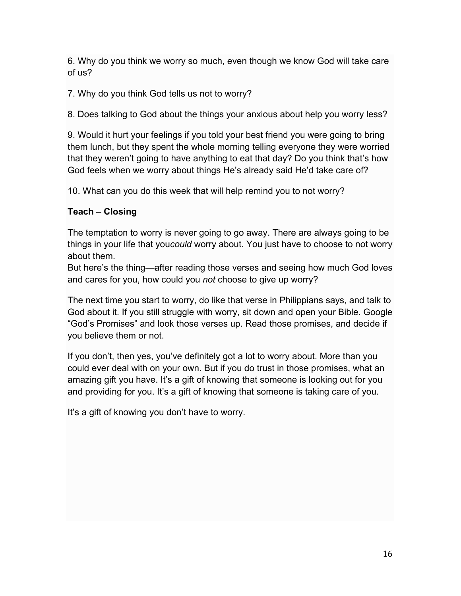6. Why do you think we worry so much, even though we know God will take care of us?

7. Why do you think God tells us not to worry?

8. Does talking to God about the things your anxious about help you worry less?

9. Would it hurt your feelings if you told your best friend you were going to bring them lunch, but they spent the whole morning telling everyone they were worried that they weren't going to have anything to eat that day? Do you think that's how God feels when we worry about things He's already said He'd take care of?

10. What can you do this week that will help remind you to not worry?

#### **Teach – Closing**

The temptation to worry is never going to go away. There are always going to be things in your life that you*could* worry about. You just have to choose to not worry about them.

But here's the thing—after reading those verses and seeing how much God loves and cares for you, how could you *not* choose to give up worry?

The next time you start to worry, do like that verse in Philippians says, and talk to God about it. If you still struggle with worry, sit down and open your Bible. Google "God's Promises" and look those verses up. Read those promises, and decide if you believe them or not.

If you don't, then yes, you've definitely got a lot to worry about. More than you could ever deal with on your own. But if you do trust in those promises, what an amazing gift you have. It's a gift of knowing that someone is looking out for you and providing for you. It's a gift of knowing that someone is taking care of you.

It's a gift of knowing you don't have to worry.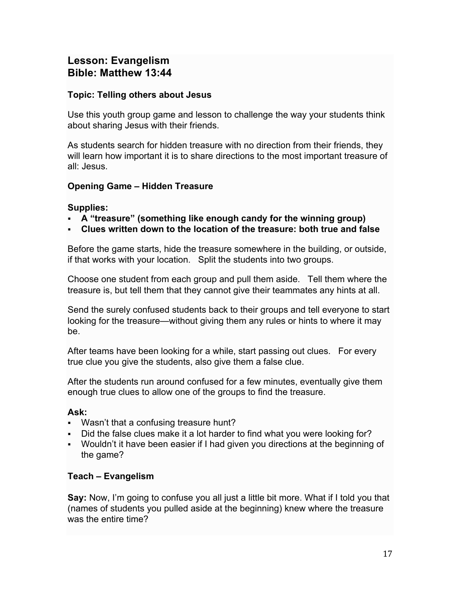# **Lesson: Evangelism Bible: Matthew 13:44**

#### **Topic: Telling others about Jesus**

Use this youth group game and lesson to challenge the way your students think about sharing Jesus with their friends.

As students search for hidden treasure with no direction from their friends, they will learn how important it is to share directions to the most important treasure of all: Jesus.

## **Opening Game – Hidden Treasure**

## **Supplies:**

- § **A "treasure" (something like enough candy for the winning group)**
- § **Clues written down to the location of the treasure: both true and false**

Before the game starts, hide the treasure somewhere in the building, or outside, if that works with your location. Split the students into two groups.

Choose one student from each group and pull them aside. Tell them where the treasure is, but tell them that they cannot give their teammates any hints at all.

Send the surely confused students back to their groups and tell everyone to start looking for the treasure—without giving them any rules or hints to where it may be.

After teams have been looking for a while, start passing out clues. For every true clue you give the students, also give them a false clue.

After the students run around confused for a few minutes, eventually give them enough true clues to allow one of the groups to find the treasure.

#### **Ask:**

- Wasn't that a confusing treasure hunt?
- Did the false clues make it a lot harder to find what you were looking for?
- Wouldn't it have been easier if I had given you directions at the beginning of the game?

#### **Teach – Evangelism**

**Say:** Now, I'm going to confuse you all just a little bit more. What if I told you that (names of students you pulled aside at the beginning) knew where the treasure was the entire time?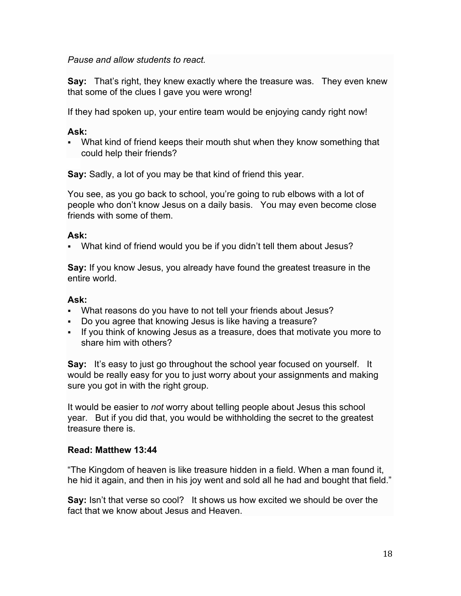*Pause and allow students to react.*

**Say:** That's right, they knew exactly where the treasure was. They even knew that some of the clues I gave you were wrong!

If they had spoken up, your entire team would be enjoying candy right now!

#### **Ask:**

• What kind of friend keeps their mouth shut when they know something that could help their friends?

**Say:** Sadly, a lot of you may be that kind of friend this year.

You see, as you go back to school, you're going to rub elbows with a lot of people who don't know Jesus on a daily basis. You may even become close friends with some of them.

#### **Ask:**

§ What kind of friend would you be if you didn't tell them about Jesus?

**Say:** If you know Jesus, you already have found the greatest treasure in the entire world.

#### **Ask:**

- What reasons do you have to not tell your friends about Jesus?
- § Do you agree that knowing Jesus is like having a treasure?
- If you think of knowing Jesus as a treasure, does that motivate you more to share him with others?

**Say:** It's easy to just go throughout the school year focused on yourself. It would be really easy for you to just worry about your assignments and making sure you got in with the right group.

It would be easier to *not* worry about telling people about Jesus this school year. But if you did that, you would be withholding the secret to the greatest treasure there is.

#### **Read: Matthew 13:44**

"The Kingdom of heaven is like treasure hidden in a field. When a man found it, he hid it again, and then in his joy went and sold all he had and bought that field."

**Say:** Isn't that verse so cool? It shows us how excited we should be over the fact that we know about Jesus and Heaven.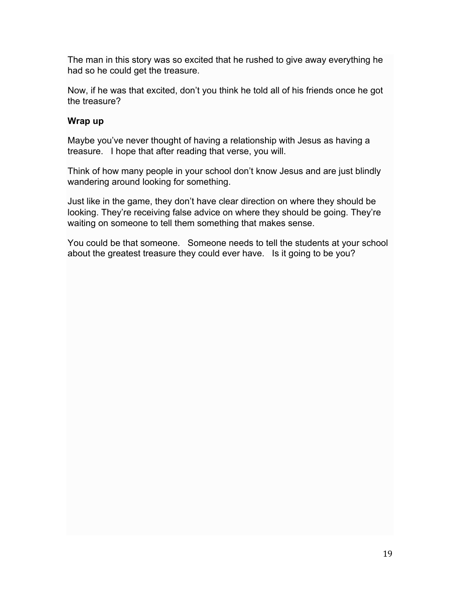The man in this story was so excited that he rushed to give away everything he had so he could get the treasure.

Now, if he was that excited, don't you think he told all of his friends once he got the treasure?

## **Wrap up**

Maybe you've never thought of having a relationship with Jesus as having a treasure. I hope that after reading that verse, you will.

Think of how many people in your school don't know Jesus and are just blindly wandering around looking for something.

Just like in the game, they don't have clear direction on where they should be looking. They're receiving false advice on where they should be going. They're waiting on someone to tell them something that makes sense.

You could be that someone. Someone needs to tell the students at your school about the greatest treasure they could ever have. Is it going to be you?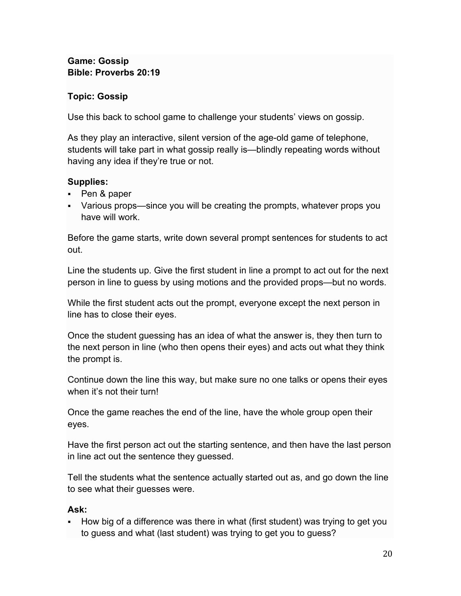#### **Game: Gossip Bible: Proverbs 20:19**

#### **Topic: Gossip**

Use this back to school game to challenge your students' views on gossip.

As they play an interactive, silent version of the age-old game of telephone, students will take part in what gossip really is—blindly repeating words without having any idea if they're true or not.

## **Supplies:**

- Pen & paper
- Various props—since you will be creating the prompts, whatever props you have will work.

Before the game starts, write down several prompt sentences for students to act out.

Line the students up. Give the first student in line a prompt to act out for the next person in line to guess by using motions and the provided props—but no words.

While the first student acts out the prompt, everyone except the next person in line has to close their eyes.

Once the student guessing has an idea of what the answer is, they then turn to the next person in line (who then opens their eyes) and acts out what they think the prompt is.

Continue down the line this way, but make sure no one talks or opens their eyes when it's not their turn!

Once the game reaches the end of the line, have the whole group open their eyes.

Have the first person act out the starting sentence, and then have the last person in line act out the sentence they guessed.

Tell the students what the sentence actually started out as, and go down the line to see what their guesses were.

#### **Ask:**

§ How big of a difference was there in what (first student) was trying to get you to guess and what (last student) was trying to get you to guess?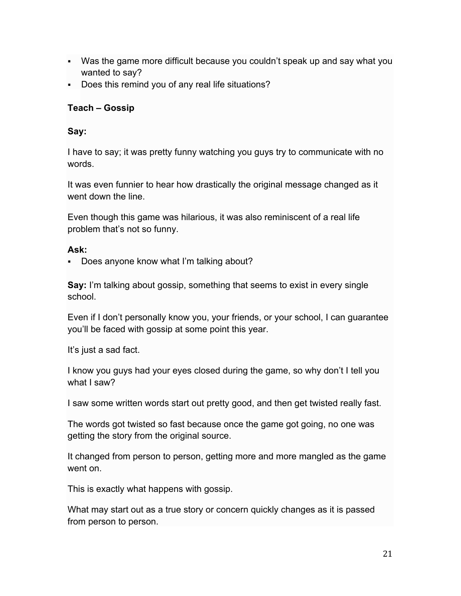- Was the game more difficult because you couldn't speak up and say what you wanted to say?
- Does this remind you of any real life situations?

## **Teach – Gossip**

## **Say:**

I have to say; it was pretty funny watching you guys try to communicate with no words.

It was even funnier to hear how drastically the original message changed as it went down the line.

Even though this game was hilarious, it was also reminiscent of a real life problem that's not so funny.

#### **Ask:**

• Does anyone know what I'm talking about?

**Say:** I'm talking about gossip, something that seems to exist in every single school.

Even if I don't personally know you, your friends, or your school, I can guarantee you'll be faced with gossip at some point this year.

It's just a sad fact.

I know you guys had your eyes closed during the game, so why don't I tell you what I saw?

I saw some written words start out pretty good, and then get twisted really fast.

The words got twisted so fast because once the game got going, no one was getting the story from the original source.

It changed from person to person, getting more and more mangled as the game went on.

This is exactly what happens with gossip.

What may start out as a true story or concern quickly changes as it is passed from person to person.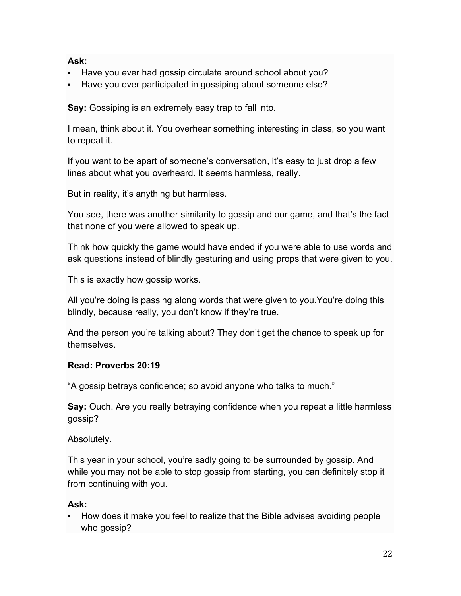#### **Ask:**

- § Have you ever had gossip circulate around school about you?
- Have you ever participated in gossiping about someone else?

**Say:** Gossiping is an extremely easy trap to fall into.

I mean, think about it. You overhear something interesting in class, so you want to repeat it.

If you want to be apart of someone's conversation, it's easy to just drop a few lines about what you overheard. It seems harmless, really.

But in reality, it's anything but harmless.

You see, there was another similarity to gossip and our game, and that's the fact that none of you were allowed to speak up.

Think how quickly the game would have ended if you were able to use words and ask questions instead of blindly gesturing and using props that were given to you.

This is exactly how gossip works.

All you're doing is passing along words that were given to you.You're doing this blindly, because really, you don't know if they're true.

And the person you're talking about? They don't get the chance to speak up for themselves.

#### **Read: Proverbs 20:19**

"A gossip betrays confidence; so avoid anyone who talks to much."

**Say:** Ouch. Are you really betraying confidence when you repeat a little harmless gossip?

Absolutely.

This year in your school, you're sadly going to be surrounded by gossip. And while you may not be able to stop gossip from starting, you can definitely stop it from continuing with you.

# **Ask:**

§ How does it make you feel to realize that the Bible advises avoiding people who gossip?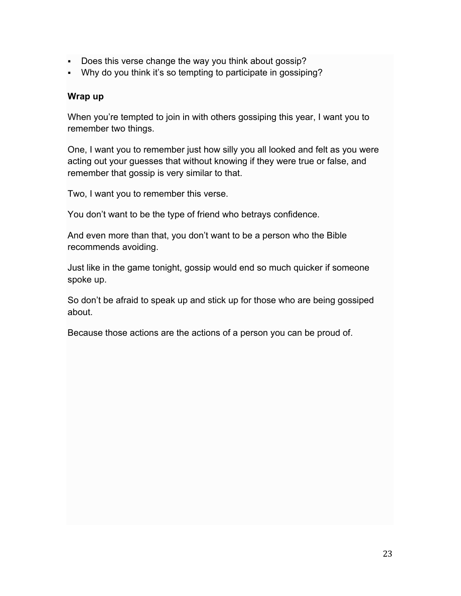- § Does this verse change the way you think about gossip?
- Why do you think it's so tempting to participate in gossiping?

#### **Wrap up**

When you're tempted to join in with others gossiping this year, I want you to remember two things.

One, I want you to remember just how silly you all looked and felt as you were acting out your guesses that without knowing if they were true or false, and remember that gossip is very similar to that.

Two, I want you to remember this verse.

You don't want to be the type of friend who betrays confidence.

And even more than that, you don't want to be a person who the Bible recommends avoiding.

Just like in the game tonight, gossip would end so much quicker if someone spoke up.

So don't be afraid to speak up and stick up for those who are being gossiped about.

Because those actions are the actions of a person you can be proud of.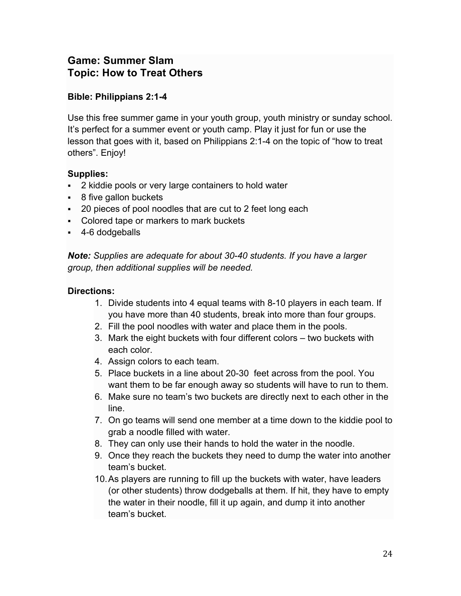# **Game: Summer Slam Topic: How to Treat Others**

## **Bible: Philippians 2:1-4**

Use this free summer game in your youth group, youth ministry or sunday school. It's perfect for a summer event or youth camp. Play it just for fun or use the lesson that goes with it, based on Philippians 2:1-4 on the topic of "how to treat others". Enjoy!

#### **Supplies:**

- § 2 kiddie pools or very large containers to hold water
- 8 five gallon buckets
- § 20 pieces of pool noodles that are cut to 2 feet long each
- Colored tape or markers to mark buckets
- § 4-6 dodgeballs

*Note: Supplies are adequate for about 30-40 students. If you have a larger group, then additional supplies will be needed.*

#### **Directions:**

- 1. Divide students into 4 equal teams with 8-10 players in each team. If you have more than 40 students, break into more than four groups.
- 2. Fill the pool noodles with water and place them in the pools.
- 3. Mark the eight buckets with four different colors two buckets with each color.
- 4. Assign colors to each team.
- 5. Place buckets in a line about 20-30 feet across from the pool. You want them to be far enough away so students will have to run to them.
- 6. Make sure no team's two buckets are directly next to each other in the line.
- 7. On go teams will send one member at a time down to the kiddie pool to grab a noodle filled with water.
- 8. They can only use their hands to hold the water in the noodle.
- 9. Once they reach the buckets they need to dump the water into another team's bucket.
- 10.As players are running to fill up the buckets with water, have leaders (or other students) throw dodgeballs at them. If hit, they have to empty the water in their noodle, fill it up again, and dump it into another team's bucket.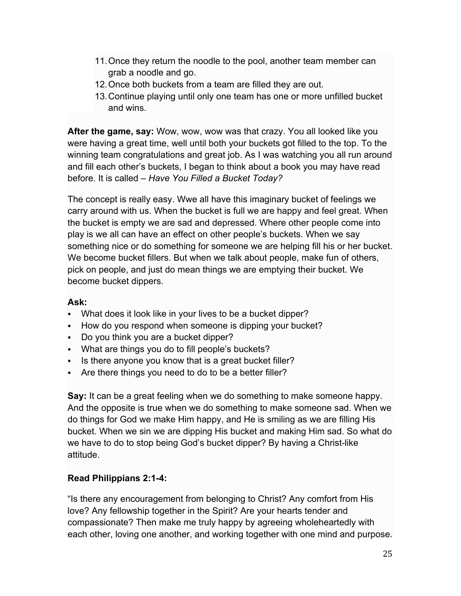- 11.Once they return the noodle to the pool, another team member can grab a noodle and go.
- 12.Once both buckets from a team are filled they are out.
- 13.Continue playing until only one team has one or more unfilled bucket and wins.

**After the game, say:** Wow, wow, wow was that crazy. You all looked like you were having a great time, well until both your buckets got filled to the top. To the winning team congratulations and great job. As I was watching you all run around and fill each other's buckets, I began to think about a book you may have read before. It is called – *Have You Filled a Bucket Today?*

The concept is really easy. Wwe all have this imaginary bucket of feelings we carry around with us. When the bucket is full we are happy and feel great. When the bucket is empty we are sad and depressed. Where other people come into play is we all can have an effect on other people's buckets. When we say something nice or do something for someone we are helping fill his or her bucket. We become bucket fillers. But when we talk about people, make fun of others, pick on people, and just do mean things we are emptying their bucket. We become bucket dippers.

#### **Ask:**

- What does it look like in your lives to be a bucket dipper?
- How do you respond when someone is dipping your bucket?
- Do you think you are a bucket dipper?
- What are things you do to fill people's buckets?
- Is there anyone you know that is a great bucket filler?
- Are there things you need to do to be a better filler?

**Say:** It can be a great feeling when we do something to make someone happy. And the opposite is true when we do something to make someone sad. When we do things for God we make Him happy, and He is smiling as we are filling His bucket. When we sin we are dipping His bucket and making Him sad. So what do we have to do to stop being God's bucket dipper? By having a Christ-like attitude.

#### **Read Philippians 2:1-4:**

"Is there any encouragement from belonging to Christ? Any comfort from His love? Any fellowship together in the Spirit? Are your hearts tender and compassionate? Then make me truly happy by agreeing wholeheartedly with each other, loving one another, and working together with one mind and purpose.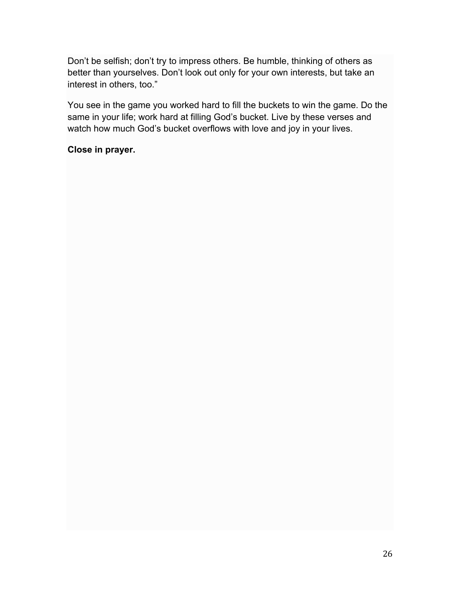Don't be selfish; don't try to impress others. Be humble, thinking of others as better than yourselves. Don't look out only for your own interests, but take an interest in others, too."

You see in the game you worked hard to fill the buckets to win the game. Do the same in your life; work hard at filling God's bucket. Live by these verses and watch how much God's bucket overflows with love and joy in your lives.

#### **Close in prayer.**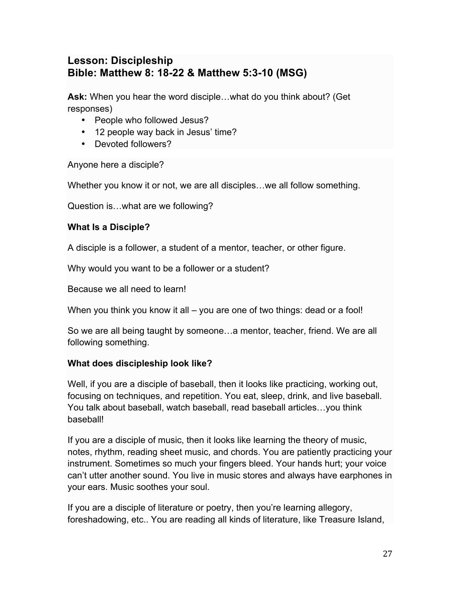# **Lesson: Discipleship Bible: Matthew 8: 18-22 & Matthew 5:3-10 (MSG)**

**Ask:** When you hear the word disciple…what do you think about? (Get responses)

- People who followed Jesus?
- 12 people way back in Jesus' time?
- Devoted followers?

Anyone here a disciple?

Whether you know it or not, we are all disciples…we all follow something.

Question is…what are we following?

#### **What Is a Disciple?**

A disciple is a follower, a student of a mentor, teacher, or other figure.

Why would you want to be a follower or a student?

Because we all need to learn!

When you think you know it all – you are one of two things: dead or a fool!

So we are all being taught by someone…a mentor, teacher, friend. We are all following something.

#### **What does discipleship look like?**

Well, if you are a disciple of baseball, then it looks like practicing, working out, focusing on techniques, and repetition. You eat, sleep, drink, and live baseball. You talk about baseball, watch baseball, read baseball articles…you think baseball!

If you are a disciple of music, then it looks like learning the theory of music, notes, rhythm, reading sheet music, and chords. You are patiently practicing your instrument. Sometimes so much your fingers bleed. Your hands hurt; your voice can't utter another sound. You live in music stores and always have earphones in your ears. Music soothes your soul.

If you are a disciple of literature or poetry, then you're learning allegory, foreshadowing, etc.. You are reading all kinds of literature, like Treasure Island,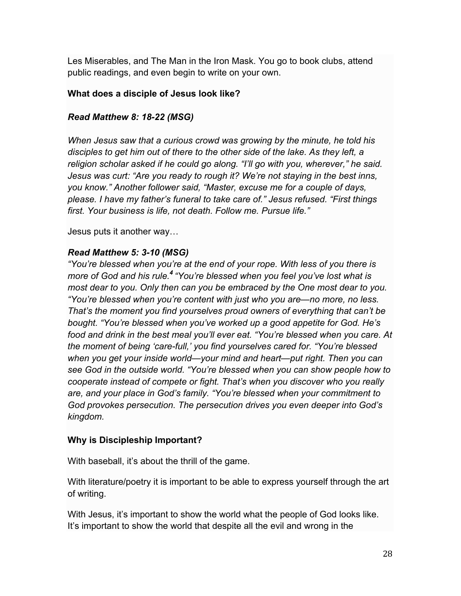Les Miserables, and The Man in the Iron Mask. You go to book clubs, attend public readings, and even begin to write on your own.

#### **What does a disciple of Jesus look like?**

#### *Read Matthew 8: 18-22 (MSG)*

*When Jesus saw that a curious crowd was growing by the minute, he told his disciples to get him out of there to the other side of the lake. As they left, a religion scholar asked if he could go along. "I'll go with you, wherever," he said. Jesus was curt: "Are you ready to rough it? We're not staying in the best inns, you know." Another follower said, "Master, excuse me for a couple of days, please. I have my father's funeral to take care of." Jesus refused. "First things first. Your business is life, not death. Follow me. Pursue life."*

Jesus puts it another way…

#### *Read Matthew 5: 3-10 (MSG)*

*"You're blessed when you're at the end of your rope. With less of you there is more of God and his rule.<sup>4</sup> "You're blessed when you feel you've lost what is most dear to you. Only then can you be embraced by the One most dear to you. "You're blessed when you're content with just who you are—no more, no less. That's the moment you find yourselves proud owners of everything that can't be bought. "You're blessed when you've worked up a good appetite for God. He's food and drink in the best meal you'll ever eat. "You're blessed when you care. At the moment of being 'care-full,' you find yourselves cared for. "You're blessed when you get your inside world—your mind and heart—put right. Then you can see God in the outside world. "You're blessed when you can show people how to cooperate instead of compete or fight. That's when you discover who you really are, and your place in God's family. "You're blessed when your commitment to God provokes persecution. The persecution drives you even deeper into God's kingdom.*

#### **Why is Discipleship Important?**

With baseball, it's about the thrill of the game.

With literature/poetry it is important to be able to express yourself through the art of writing.

With Jesus, it's important to show the world what the people of God looks like. It's important to show the world that despite all the evil and wrong in the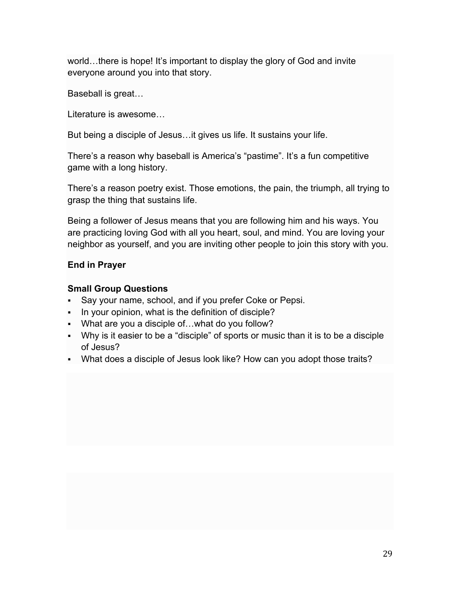world...there is hope! It's important to display the glory of God and invite everyone around you into that story.

Baseball is great…

Literature is awesome…

But being a disciple of Jesus…it gives us life. It sustains your life.

There's a reason why baseball is America's "pastime". It's a fun competitive game with a long history.

There's a reason poetry exist. Those emotions, the pain, the triumph, all trying to grasp the thing that sustains life.

Being a follower of Jesus means that you are following him and his ways. You are practicing loving God with all you heart, soul, and mind. You are loving your neighbor as yourself, and you are inviting other people to join this story with you.

#### **End in Prayer**

#### **Small Group Questions**

- Say your name, school, and if you prefer Coke or Pepsi.
- In your opinion, what is the definition of disciple?
- What are you a disciple of...what do you follow?
- Why is it easier to be a "disciple" of sports or music than it is to be a disciple of Jesus?
- What does a disciple of Jesus look like? How can you adopt those traits?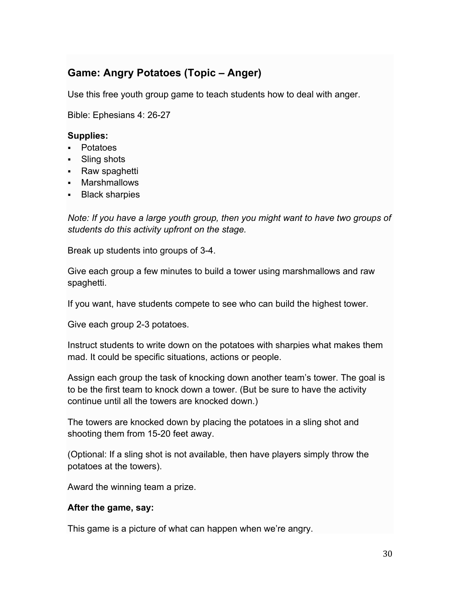# **Game: Angry Potatoes (Topic – Anger)**

Use this free youth group game to teach students how to deal with anger.

Bible: Ephesians 4: 26-27

#### **Supplies:**

- § Potatoes
- Sling shots
- § Raw spaghetti
- § Marshmallows
- § Black sharpies

*Note: If you have a large youth group, then you might want to have two groups of students do this activity upfront on the stage.*

Break up students into groups of 3-4.

Give each group a few minutes to build a tower using marshmallows and raw spaghetti.

If you want, have students compete to see who can build the highest tower.

Give each group 2-3 potatoes.

Instruct students to write down on the potatoes with sharpies what makes them mad. It could be specific situations, actions or people.

Assign each group the task of knocking down another team's tower. The goal is to be the first team to knock down a tower. (But be sure to have the activity continue until all the towers are knocked down.)

The towers are knocked down by placing the potatoes in a sling shot and shooting them from 15-20 feet away.

(Optional: If a sling shot is not available, then have players simply throw the potatoes at the towers).

Award the winning team a prize.

#### **After the game, say:**

This game is a picture of what can happen when we're angry.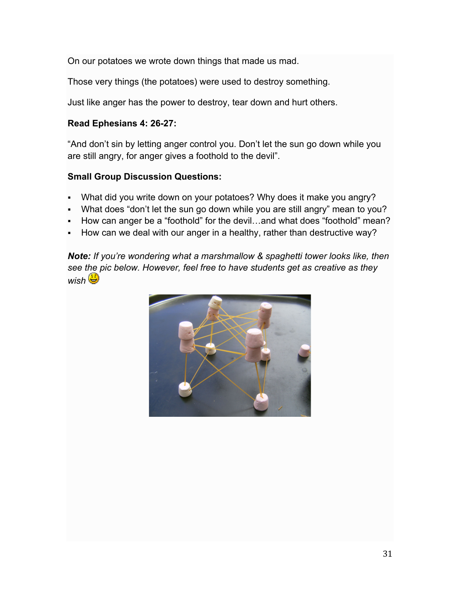On our potatoes we wrote down things that made us mad.

Those very things (the potatoes) were used to destroy something.

Just like anger has the power to destroy, tear down and hurt others.

#### **Read Ephesians 4: 26-27:**

"And don't sin by letting anger control you. Don't let the sun go down while you are still angry, for anger gives a foothold to the devil".

#### **Small Group Discussion Questions:**

- What did you write down on your potatoes? Why does it make you angry?
- What does "don't let the sun go down while you are still angry" mean to you?
- How can anger be a "foothold" for the devil...and what does "foothold" mean?
- How can we deal with our anger in a healthy, rather than destructive way?

*Note: If you're wondering what a marshmallow & spaghetti tower looks like, then see the pic below. However, feel free to have students get as creative as they wish*

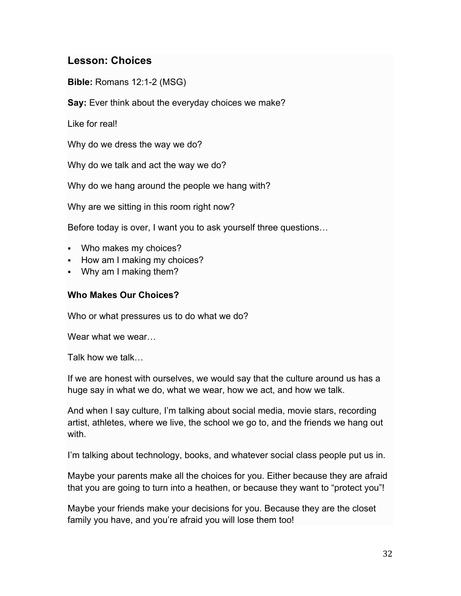# **Lesson: Choices**

**Bible:** Romans 12:1-2 (MSG)

**Say:** Ever think about the everyday choices we make?

Like for real!

Why do we dress the way we do?

Why do we talk and act the way we do?

Why do we hang around the people we hang with?

Why are we sitting in this room right now?

Before today is over, I want you to ask yourself three questions…

- Who makes my choices?
- § How am I making my choices?
- § Why am I making them?

#### **Who Makes Our Choices?**

Who or what pressures us to do what we do?

Wear what we wear...

Talk how we talk…

If we are honest with ourselves, we would say that the culture around us has a huge say in what we do, what we wear, how we act, and how we talk.

And when I say culture, I'm talking about social media, movie stars, recording artist, athletes, where we live, the school we go to, and the friends we hang out with.

I'm talking about technology, books, and whatever social class people put us in.

Maybe your parents make all the choices for you. Either because they are afraid that you are going to turn into a heathen, or because they want to "protect you"!

Maybe your friends make your decisions for you. Because they are the closet family you have, and you're afraid you will lose them too!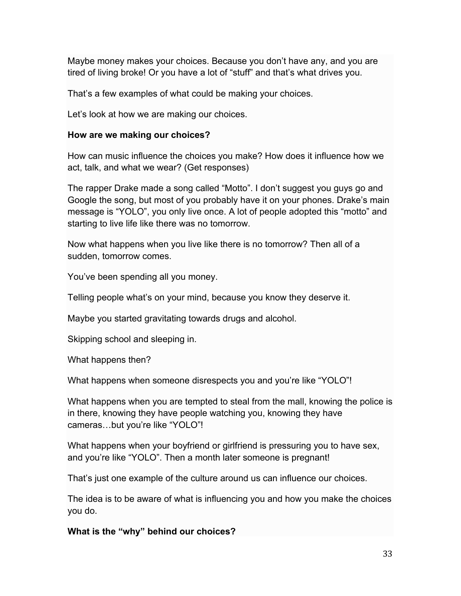Maybe money makes your choices. Because you don't have any, and you are tired of living broke! Or you have a lot of "stuff" and that's what drives you.

That's a few examples of what could be making your choices.

Let's look at how we are making our choices.

#### **How are we making our choices?**

How can music influence the choices you make? How does it influence how we act, talk, and what we wear? (Get responses)

The rapper Drake made a song called "Motto". I don't suggest you guys go and Google the song, but most of you probably have it on your phones. Drake's main message is "YOLO", you only live once. A lot of people adopted this "motto" and starting to live life like there was no tomorrow.

Now what happens when you live like there is no tomorrow? Then all of a sudden, tomorrow comes.

You've been spending all you money.

Telling people what's on your mind, because you know they deserve it.

Maybe you started gravitating towards drugs and alcohol.

Skipping school and sleeping in.

What happens then?

What happens when someone disrespects you and you're like "YOLO"!

What happens when you are tempted to steal from the mall, knowing the police is in there, knowing they have people watching you, knowing they have cameras…but you're like "YOLO"!

What happens when your boyfriend or girlfriend is pressuring you to have sex, and you're like "YOLO". Then a month later someone is pregnant!

That's just one example of the culture around us can influence our choices.

The idea is to be aware of what is influencing you and how you make the choices you do.

**What is the "why" behind our choices?**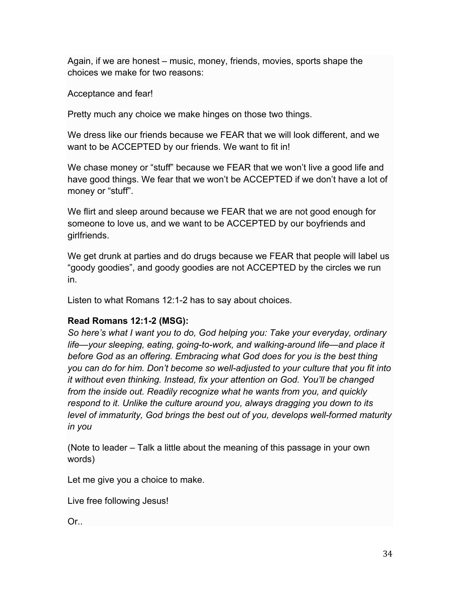Again, if we are honest – music, money, friends, movies, sports shape the choices we make for two reasons:

Acceptance and fear!

Pretty much any choice we make hinges on those two things.

We dress like our friends because we FEAR that we will look different, and we want to be ACCEPTED by our friends. We want to fit in!

We chase money or "stuff" because we FEAR that we won't live a good life and have good things. We fear that we won't be ACCEPTED if we don't have a lot of money or "stuff".

We flirt and sleep around because we FEAR that we are not good enough for someone to love us, and we want to be ACCEPTED by our boyfriends and girlfriends.

We get drunk at parties and do drugs because we FEAR that people will label us "goody goodies", and goody goodies are not ACCEPTED by the circles we run in.

Listen to what Romans 12:1-2 has to say about choices.

#### **Read Romans 12:1-2 (MSG):**

*So here's what I want you to do, God helping you: Take your everyday, ordinary life—your sleeping, eating, going-to-work, and walking-around life—and place it before God as an offering. Embracing what God does for you is the best thing you can do for him. Don't become so well-adjusted to your culture that you fit into it without even thinking. Instead, fix your attention on God. You'll be changed from the inside out. Readily recognize what he wants from you, and quickly respond to it. Unlike the culture around you, always dragging you down to its level of immaturity, God brings the best out of you, develops well-formed maturity in you*

(Note to leader – Talk a little about the meaning of this passage in your own words)

Let me give you a choice to make.

Live free following Jesus!

Or..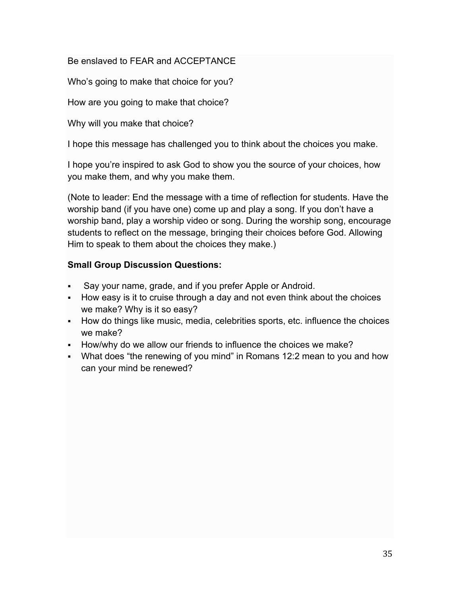#### Be enslaved to FEAR and ACCEPTANCE

Who's going to make that choice for you?

How are you going to make that choice?

Why will you make that choice?

I hope this message has challenged you to think about the choices you make.

I hope you're inspired to ask God to show you the source of your choices, how you make them, and why you make them.

(Note to leader: End the message with a time of reflection for students. Have the worship band (if you have one) come up and play a song. If you don't have a worship band, play a worship video or song. During the worship song, encourage students to reflect on the message, bringing their choices before God. Allowing Him to speak to them about the choices they make.)

#### **Small Group Discussion Questions:**

- Say your name, grade, and if you prefer Apple or Android.
- How easy is it to cruise through a day and not even think about the choices we make? Why is it so easy?
- § How do things like music, media, celebrities sports, etc. influence the choices we make?
- How/why do we allow our friends to influence the choices we make?
- What does "the renewing of you mind" in Romans 12:2 mean to you and how can your mind be renewed?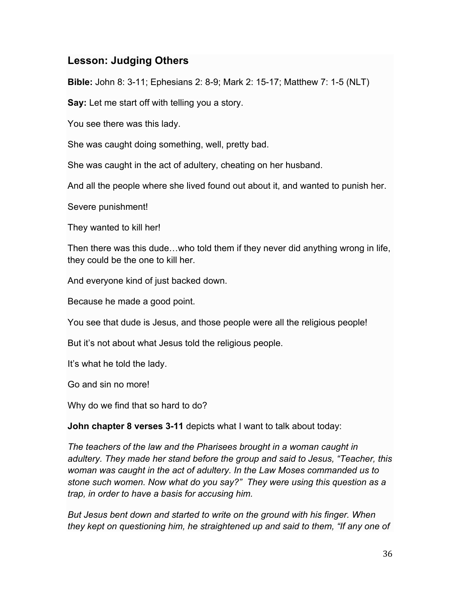# **Lesson: Judging Others**

**Bible:** John 8: 3-11; Ephesians 2: 8-9; Mark 2: 15-17; Matthew 7: 1-5 (NLT)

**Say:** Let me start off with telling you a story.

You see there was this lady.

She was caught doing something, well, pretty bad.

She was caught in the act of adultery, cheating on her husband.

And all the people where she lived found out about it, and wanted to punish her.

Severe punishment!

They wanted to kill her!

Then there was this dude…who told them if they never did anything wrong in life, they could be the one to kill her.

And everyone kind of just backed down.

Because he made a good point.

You see that dude is Jesus, and those people were all the religious people!

But it's not about what Jesus told the religious people.

It's what he told the lady.

Go and sin no more!

Why do we find that so hard to do?

**John chapter 8 verses 3-11** depicts what I want to talk about today:

*The teachers of the law and the Pharisees brought in a woman caught in adultery. They made her stand before the group and said to Jesus, "Teacher, this woman was caught in the act of adultery. In the Law Moses commanded us to stone such women. Now what do you say?" They were using this question as a trap, in order to have a basis for accusing him.*

*But Jesus bent down and started to write on the ground with his finger. When they kept on questioning him, he straightened up and said to them, "If any one of*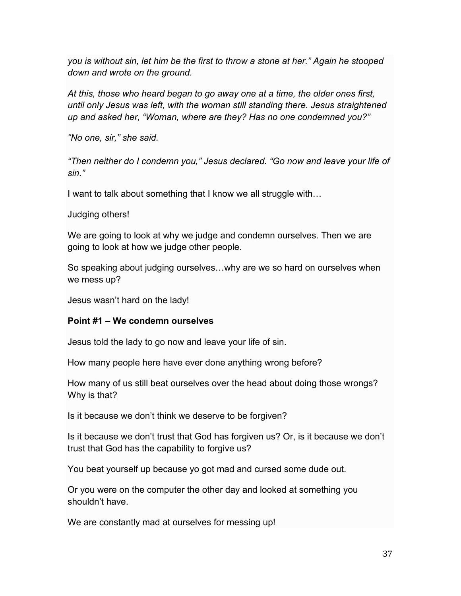*you is without sin, let him be the first to throw a stone at her." Again he stooped down and wrote on the ground.*

*At this, those who heard began to go away one at a time, the older ones first, until only Jesus was left, with the woman still standing there. Jesus straightened up and asked her, "Woman, where are they? Has no one condemned you?"*

*"No one, sir," she said.*

*"Then neither do I condemn you," Jesus declared. "Go now and leave your life of sin."*

I want to talk about something that I know we all struggle with…

Judging others!

We are going to look at why we judge and condemn ourselves. Then we are going to look at how we judge other people.

So speaking about judging ourselves…why are we so hard on ourselves when we mess up?

Jesus wasn't hard on the lady!

#### **Point #1 – We condemn ourselves**

Jesus told the lady to go now and leave your life of sin.

How many people here have ever done anything wrong before?

How many of us still beat ourselves over the head about doing those wrongs? Why is that?

Is it because we don't think we deserve to be forgiven?

Is it because we don't trust that God has forgiven us? Or, is it because we don't trust that God has the capability to forgive us?

You beat yourself up because yo got mad and cursed some dude out.

Or you were on the computer the other day and looked at something you shouldn't have.

We are constantly mad at ourselves for messing up!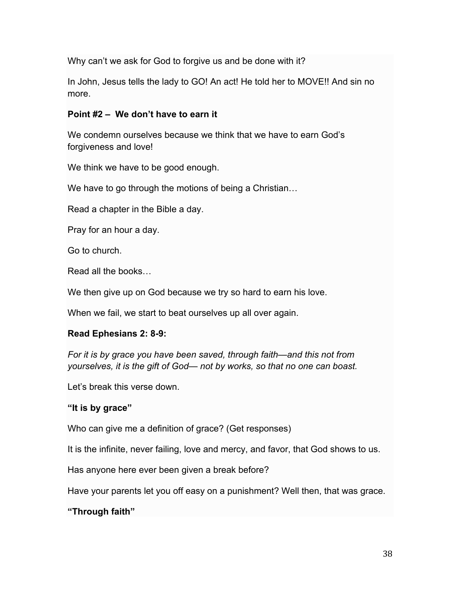Why can't we ask for God to forgive us and be done with it?

In John, Jesus tells the lady to GO! An act! He told her to MOVE!! And sin no more.

#### **Point #2 – We don't have to earn it**

We condemn ourselves because we think that we have to earn God's forgiveness and love!

We think we have to be good enough.

We have to go through the motions of being a Christian...

Read a chapter in the Bible a day.

Pray for an hour a day.

Go to church.

Read all the books…

We then give up on God because we try so hard to earn his love.

When we fail, we start to beat ourselves up all over again.

#### **Read Ephesians 2: 8-9:**

*For it is by grace you have been saved, through faith—and this not from yourselves, it is the gift of God— not by works, so that no one can boast.*

Let's break this verse down.

#### **"It is by grace"**

Who can give me a definition of grace? (Get responses)

It is the infinite, never failing, love and mercy, and favor, that God shows to us.

Has anyone here ever been given a break before?

Have your parents let you off easy on a punishment? Well then, that was grace.

#### **"Through faith"**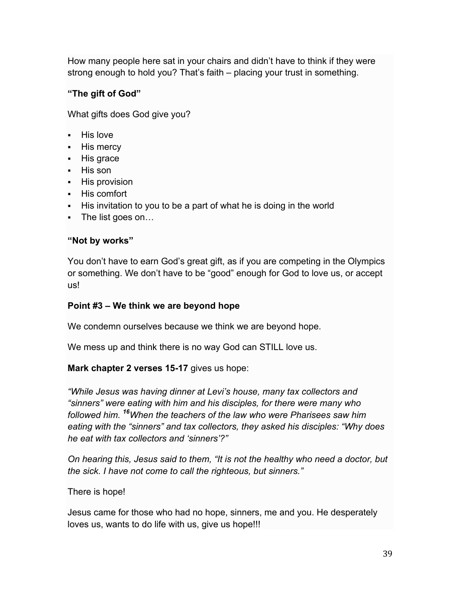How many people here sat in your chairs and didn't have to think if they were strong enough to hold you? That's faith – placing your trust in something.

## **"The gift of God"**

What gifts does God give you?

- § His love
- His mercy
- His grace
- § His son
- His provision
- His comfort
- His invitation to you to be a part of what he is doing in the world
- The list goes on...

#### **"Not by works"**

You don't have to earn God's great gift, as if you are competing in the Olympics or something. We don't have to be "good" enough for God to love us, or accept us!

#### **Point #3 – We think we are beyond hope**

We condemn ourselves because we think we are beyond hope.

We mess up and think there is no way God can STILL love us.

#### **Mark chapter 2 verses 15-17** gives us hope:

*"While Jesus was having dinner at Levi's house, many tax collectors and "sinners" were eating with him and his disciples, for there were many who followed him. <sup>16</sup>When the teachers of the law who were Pharisees saw him eating with the "sinners" and tax collectors, they asked his disciples: "Why does he eat with tax collectors and 'sinners'?"*

*On hearing this, Jesus said to them, "It is not the healthy who need a doctor, but the sick. I have not come to call the righteous, but sinners."*

There is hope!

Jesus came for those who had no hope, sinners, me and you. He desperately loves us, wants to do life with us, give us hope!!!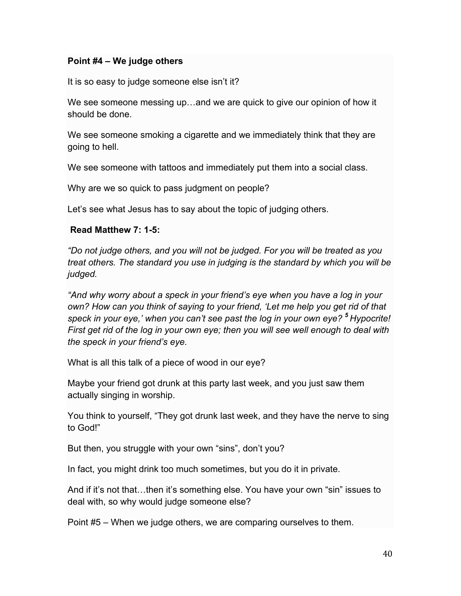#### **Point #4 – We judge others**

It is so easy to judge someone else isn't it?

We see someone messing up…and we are quick to give our opinion of how it should be done.

We see someone smoking a cigarette and we immediately think that they are going to hell.

We see someone with tattoos and immediately put them into a social class.

Why are we so quick to pass judgment on people?

Let's see what Jesus has to say about the topic of judging others.

#### **Read Matthew 7: 1-5:**

*"Do not judge others, and you will not be judged. For you will be treated as you treat others. The standard you use in judging is the standard by which you will be judged.*

*"And why worry about a speck in your friend's eye when you have a log in your own? How can you think of saying to your friend, 'Let me help you get rid of that speck in your eye,' when you can't see past the log in your own eye? <sup>5</sup> Hypocrite! First get rid of the log in your own eye; then you will see well enough to deal with the speck in your friend's eye.*

What is all this talk of a piece of wood in our eye?

Maybe your friend got drunk at this party last week, and you just saw them actually singing in worship.

You think to yourself, "They got drunk last week, and they have the nerve to sing to God!"

But then, you struggle with your own "sins", don't you?

In fact, you might drink too much sometimes, but you do it in private.

And if it's not that…then it's something else. You have your own "sin" issues to deal with, so why would judge someone else?

Point #5 – When we judge others, we are comparing ourselves to them.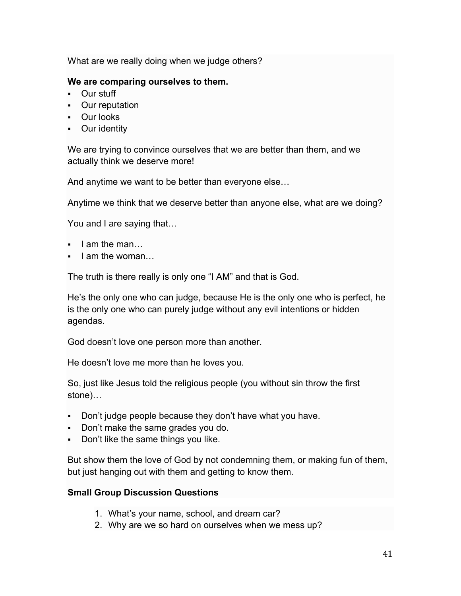What are we really doing when we judge others?

#### **We are comparing ourselves to them.**

- Our stuff
- Our reputation
- Our looks
- Our identity

We are trying to convince ourselves that we are better than them, and we actually think we deserve more!

And anytime we want to be better than everyone else…

Anytime we think that we deserve better than anyone else, what are we doing?

You and I are saying that…

- I am the man
- I am the woman...

The truth is there really is only one "I AM" and that is God.

He's the only one who can judge, because He is the only one who is perfect, he is the only one who can purely judge without any evil intentions or hidden agendas.

God doesn't love one person more than another.

He doesn't love me more than he loves you.

So, just like Jesus told the religious people (you without sin throw the first stone)…

- Don't judge people because they don't have what you have.
- Don't make the same grades you do.
- § Don't like the same things you like.

But show them the love of God by not condemning them, or making fun of them, but just hanging out with them and getting to know them.

#### **Small Group Discussion Questions**

- 1. What's your name, school, and dream car?
- 2. Why are we so hard on ourselves when we mess up?